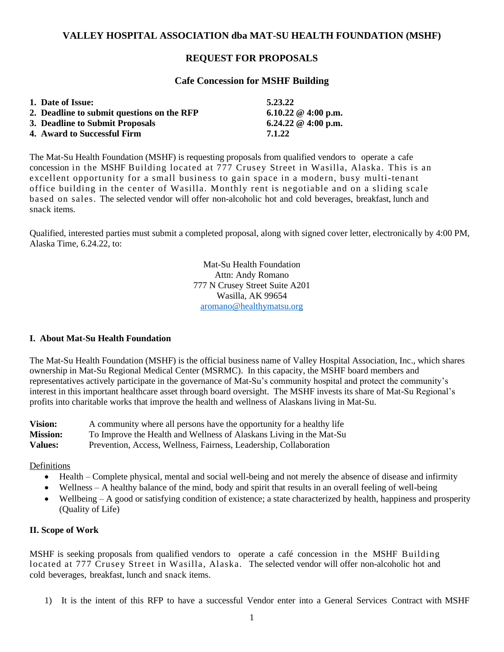# **REQUEST FOR PROPOSALS**

# **Cafe Concession for MSHF Building**

| 1. Date of Issue:                          | 5.23.22                     |
|--------------------------------------------|-----------------------------|
| 2. Deadline to submit questions on the RFP | 6.10.22 $\oslash$ 4:00 p.m. |
| 3. Deadline to Submit Proposals            | 6.24.22 @ 4:00 p.m.         |
| 4. Award to Successful Firm                | 7.1.22                      |

The Mat-Su Health Foundation (MSHF) is requesting proposals from qualified vendors to operate a cafe concession in the MSHF Building located at 777 Crusey Street in Wasilla, Alaska. This is an excellent opportunity for a small business to gain space in a modern, busy multi-tenant office building in the center of Wasilla. Monthly rent is negotiable and on a sliding scale based on sales. The selected vendor will offer non-alcoholic hot and cold beverages, breakfast, lunch and snack items.

Qualified, interested parties must submit a completed proposal, along with signed cover letter, electronically by 4:00 PM, Alaska Time, 6.24.22, to:

> Mat-Su Health Foundation Attn: Andy Romano 777 N Crusey Street Suite A201 Wasilla, AK 99654 [aromano@healthymatsu.org](mailto:aromano@healthymatsu.org)

#### **I. About Mat-Su Health Foundation**

The Mat-Su Health Foundation (MSHF) is the official business name of Valley Hospital Association, Inc., which shares ownership in Mat-Su Regional Medical Center (MSRMC). In this capacity, the MSHF board members and representatives actively participate in the governance of Mat-Su's community hospital and protect the community's interest in this important healthcare asset through board oversight. The MSHF invests its share of Mat-Su Regional's profits into charitable works that improve the health and wellness of Alaskans living in Mat-Su.

**Vision:** A community where all persons have the opportunity for a healthy life **Mission:** To Improve the Health and Wellness of Alaskans Living in the Mat-Su **Values:** Prevention, Access, Wellness, Fairness, Leadership, Collaboration

#### Definitions

- Health Complete physical, mental and social well-being and not merely the absence of disease and infirmity
- Wellness A healthy balance of the mind, body and spirit that results in an overall feeling of well-being
- Wellbeing A good or satisfying condition of existence; a state characterized by health, happiness and prosperity (Quality of Life)

## **II. Scope of Work**

MSHF is seeking proposals from qualified vendors to operate a café concession in the MSHF Building located at 777 Crusey Street in Wasilla, Alaska. The selected vendor will offer non-alcoholic hot and cold beverages, breakfast, lunch and snack items.

1) It is the intent of this RFP to have a successful Vendor enter into a General Services Contract with MSHF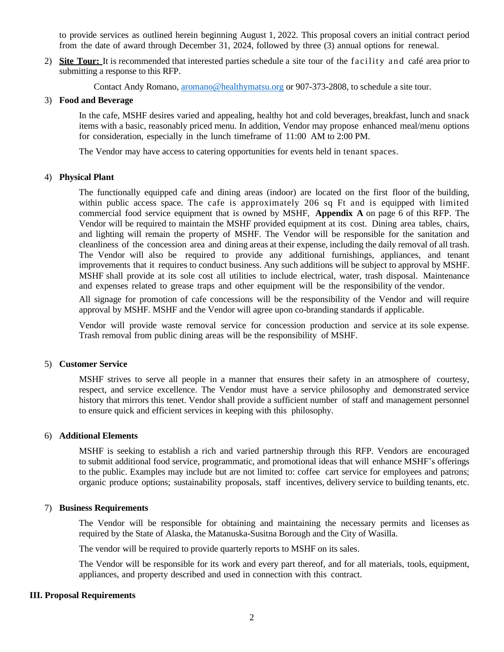to provide services as outlined herein beginning August 1, 2022. This proposal covers an initial contract period from the date of award through December 31, 2024, followed by three (3) annual options for renewal.

2) **Site Tour:** It is recommended that interested parties schedule a site tour of the facility and café area prior to submitting a response to this RFP.

Contact Andy Romano, [aromano@healthymatsu.org](mailto:,%20aromano@healthymatsu.org) or 907-373-2808, to schedule a site tour.

#### 3) **Food and Beverage**

In the cafe, MSHF desires varied and appealing, healthy hot and cold beverages, breakfast, lunch and snack items with a basic, reasonably priced menu. In addition, Vendor may propose enhanced meal/menu options for consideration, especially in the lunch timeframe of 11:00 AM to 2:00 PM.

The Vendor may have access to catering opportunities for events held in tenant spaces.

#### 4) **Physical Plant**

The functionally equipped cafe and dining areas (indoor) are located on the first floor of the building, within public access space. The cafe is approximately 206 sq Ft and is equipped with limited commercial food service equipment that is owned by MSHF, **Appendix A** on page 6 of this RFP. The Vendor will be required to maintain the MSHF provided equipment at its cost. Dining area tables, chairs, and lighting will remain the property of MSHF. The Vendor will be responsible for the sanitation and cleanliness of the concession area and dining areas at their expense, including the daily removal of all trash. The Vendor will also be required to provide any additional furnishings, appliances, and tenant improvements that it requires to conduct business. Any such additions will be subject to approval by MSHF. MSHF shall provide at its sole cost all utilities to include electrical, water, trash disposal. Maintenance and expenses related to grease traps and other equipment will be the responsibility of the vendor.

All signage for promotion of cafe concessions will be the responsibility of the Vendor and will require approval by MSHF. MSHF and the Vendor will agree upon co-branding standards if applicable.

Vendor will provide waste removal service for concession production and service at its sole expense. Trash removal from public dining areas will be the responsibility of MSHF.

#### 5) **Customer Service**

MSHF strives to serve all people in a manner that ensures their safety in an atmosphere of courtesy, respect, and service excellence. The Vendor must have a service philosophy and demonstrated service history that mirrors this tenet. Vendor shall provide a sufficient number of staff and management personnel to ensure quick and efficient services in keeping with this philosophy.

#### 6) **Additional Elements**

MSHF is seeking to establish a rich and varied partnership through this RFP. Vendors are encouraged to submit additional food service, programmatic, and promotional ideas that will enhance MSHF's offerings to the public. Examples may include but are not limited to: coffee cart service for employees and patrons; organic produce options; sustainability proposals, staff incentives, delivery service to building tenants, etc.

#### 7) **Business Requirements**

The Vendor will be responsible for obtaining and maintaining the necessary permits and licenses as required by the State of Alaska, the Matanuska-Susitna Borough and the City of Wasilla.

The vendor will be required to provide quarterly reports to MSHF on its sales.

The Vendor will be responsible for its work and every part thereof, and for all materials, tools, equipment, appliances, and property described and used in connection with this contract.

#### **III. Proposal Requirements**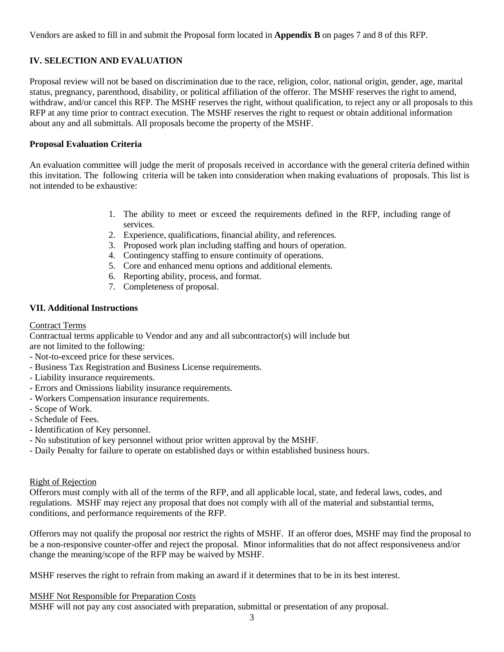Vendors are asked to fill in and submit the Proposal form located in **Appendix B** on pages 7 and 8 of this RFP.

# **IV. SELECTION AND EVALUATION**

Proposal review will not be based on discrimination due to the race, religion, color, national origin, gender, age, marital status, pregnancy, parenthood, disability, or political affiliation of the offeror. The MSHF reserves the right to amend, withdraw, and/or cancel this RFP. The MSHF reserves the right, without qualification, to reject any or all proposals to this RFP at any time prior to contract execution. The MSHF reserves the right to request or obtain additional information about any and all submittals. All proposals become the property of the MSHF.

## **Proposal Evaluation Criteria**

An evaluation committee will judge the merit of proposals received in accordance with the general criteria defined within this invitation. The following criteria will be taken into consideration when making evaluations of proposals. This list is not intended to be exhaustive:

- 1. The ability to meet or exceed the requirements defined in the RFP, including range of services.
- 2. Experience, qualifications, financial ability, and references.
- 3. Proposed work plan including staffing and hours of operation.
- 4. Contingency staffing to ensure continuity of operations.
- 5. Core and enhanced menu options and additional elements.
- 6. Reporting ability, process, and format.
- 7. Completeness of proposal.

## **VII. Additional Instructions**

### Contract Terms

Contractual terms applicable to Vendor and any and all subcontractor(s) will include but are not limited to the following:

- Not-to-exceed price for these services.
- Business Tax Registration and Business License requirements.
- Liability insurance requirements.
- Errors and Omissions liability insurance requirements.
- Workers Compensation insurance requirements.
- Scope of Work.
- Schedule of Fees.
- Identification of Key personnel.
- No substitution of key personnel without prior written approval by the MSHF.
- Daily Penalty for failure to operate on established days or within established business hours.

#### Right of Rejection

Offerors must comply with all of the terms of the RFP, and all applicable local, state, and federal laws, codes, and regulations. MSHF may reject any proposal that does not comply with all of the material and substantial terms, conditions, and performance requirements of the RFP.

Offerors may not qualify the proposal nor restrict the rights of MSHF. If an offeror does, MSHF may find the proposal to be a non-responsive counter-offer and reject the proposal. Minor informalities that do not affect responsiveness and/or change the meaning/scope of the RFP may be waived by MSHF.

MSHF reserves the right to refrain from making an award if it determines that to be in its best interest.

#### MSHF Not Responsible for Preparation Costs

MSHF will not pay any cost associated with preparation, submittal or presentation of any proposal.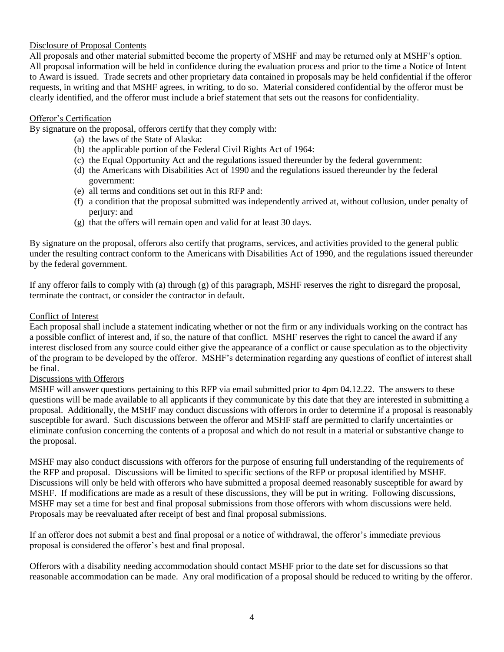## Disclosure of Proposal Contents

All proposals and other material submitted become the property of MSHF and may be returned only at MSHF's option. All proposal information will be held in confidence during the evaluation process and prior to the time a Notice of Intent to Award is issued. Trade secrets and other proprietary data contained in proposals may be held confidential if the offeror requests, in writing and that MSHF agrees, in writing, to do so. Material considered confidential by the offeror must be clearly identified, and the offeror must include a brief statement that sets out the reasons for confidentiality.

### Offeror's Certification

By signature on the proposal, offerors certify that they comply with:

- (a) the laws of the State of Alaska:
- (b) the applicable portion of the Federal Civil Rights Act of 1964:
- (c) the Equal Opportunity Act and the regulations issued thereunder by the federal government:
- (d) the Americans with Disabilities Act of 1990 and the regulations issued thereunder by the federal government:
- (e) all terms and conditions set out in this RFP and:
- (f) a condition that the proposal submitted was independently arrived at, without collusion, under penalty of perjury: and
- (g) that the offers will remain open and valid for at least 30 days.

By signature on the proposal, offerors also certify that programs, services, and activities provided to the general public under the resulting contract conform to the Americans with Disabilities Act of 1990, and the regulations issued thereunder by the federal government.

If any offeror fails to comply with (a) through (g) of this paragraph, MSHF reserves the right to disregard the proposal, terminate the contract, or consider the contractor in default.

#### Conflict of Interest

Each proposal shall include a statement indicating whether or not the firm or any individuals working on the contract has a possible conflict of interest and, if so, the nature of that conflict. MSHF reserves the right to cancel the award if any interest disclosed from any source could either give the appearance of a conflict or cause speculation as to the objectivity of the program to be developed by the offeror. MSHF's determination regarding any questions of conflict of interest shall be final.

#### Discussions with Offerors

MSHF will answer questions pertaining to this RFP via email submitted prior to 4pm 04.12.22. The answers to these questions will be made available to all applicants if they communicate by this date that they are interested in submitting a proposal. Additionally, the MSHF may conduct discussions with offerors in order to determine if a proposal is reasonably susceptible for award. Such discussions between the offeror and MSHF staff are permitted to clarify uncertainties or eliminate confusion concerning the contents of a proposal and which do not result in a material or substantive change to the proposal.

MSHF may also conduct discussions with offerors for the purpose of ensuring full understanding of the requirements of the RFP and proposal. Discussions will be limited to specific sections of the RFP or proposal identified by MSHF. Discussions will only be held with offerors who have submitted a proposal deemed reasonably susceptible for award by MSHF. If modifications are made as a result of these discussions, they will be put in writing. Following discussions, MSHF may set a time for best and final proposal submissions from those offerors with whom discussions were held. Proposals may be reevaluated after receipt of best and final proposal submissions.

If an offeror does not submit a best and final proposal or a notice of withdrawal, the offeror's immediate previous proposal is considered the offeror's best and final proposal.

Offerors with a disability needing accommodation should contact MSHF prior to the date set for discussions so that reasonable accommodation can be made. Any oral modification of a proposal should be reduced to writing by the offeror.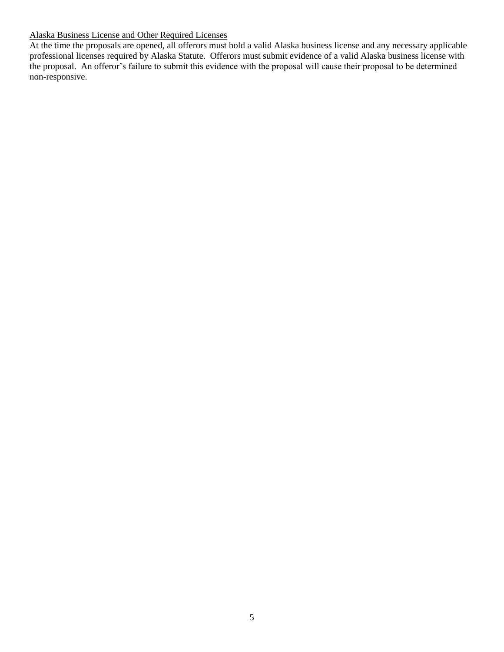# Alaska Business License and Other Required Licenses

At the time the proposals are opened, all offerors must hold a valid Alaska business license and any necessary applicable professional licenses required by Alaska Statute. Offerors must submit evidence of a valid Alaska business license with the proposal. An offeror's failure to submit this evidence with the proposal will cause their proposal to be determined non-responsive.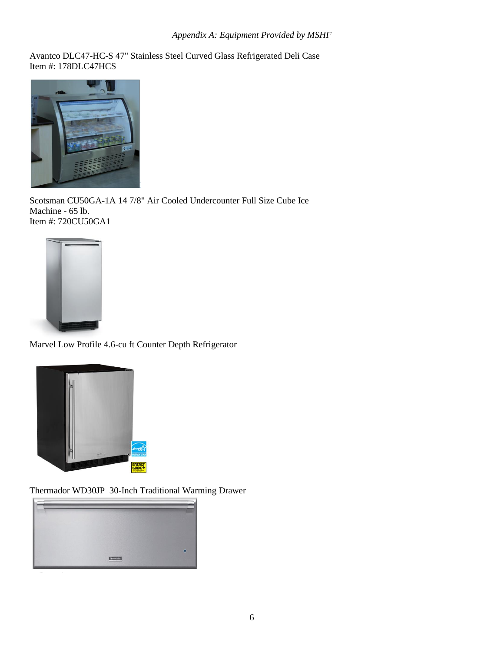## *Appendix A: Equipment Provided by MSHF*

Avantco DLC47-HC-S 47" Stainless Steel Curved Glass Refrigerated Deli Case Item #: 178DLC47HCS



Scotsman CU50GA-1A 14 7/8" Air Cooled Undercounter Full Size Cube Ice Machine - 65 lb. Item #: 720CU50GA1



Marvel Low Profile 4.6-cu ft Counter Depth Refrigerator



Thermador WD30JP 30-Inch Traditional Warming Drawer

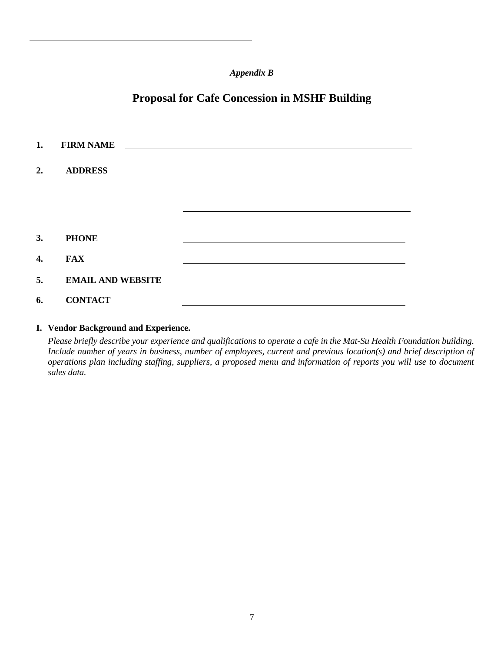# *Appendix B*

# **Proposal for Cafe Concession in MSHF Building**

| 1. | <b>FIRM NAME</b>         | <u> 1980 - Andrea State Barbara, amerikan personal di sebagai personal di sebagai personal di sebagai personal d</u> |
|----|--------------------------|----------------------------------------------------------------------------------------------------------------------|
| 2. | <b>ADDRESS</b>           |                                                                                                                      |
|    |                          |                                                                                                                      |
|    |                          |                                                                                                                      |
|    |                          |                                                                                                                      |
| 3. | <b>PHONE</b>             |                                                                                                                      |
| 4. | <b>FAX</b>               |                                                                                                                      |
| 5. | <b>EMAIL AND WEBSITE</b> |                                                                                                                      |
| 6. | <b>CONTACT</b>           |                                                                                                                      |

## **I. Vendor Background and Experience.**

*Please briefly describe your experience and qualifications to operate a cafe in the Mat-Su Health Foundation building. Include number of years in business, number of employees, current and previous location(s) and brief description of operations plan including staffing, suppliers, a proposed menu and information of reports you will use to document sales data.*